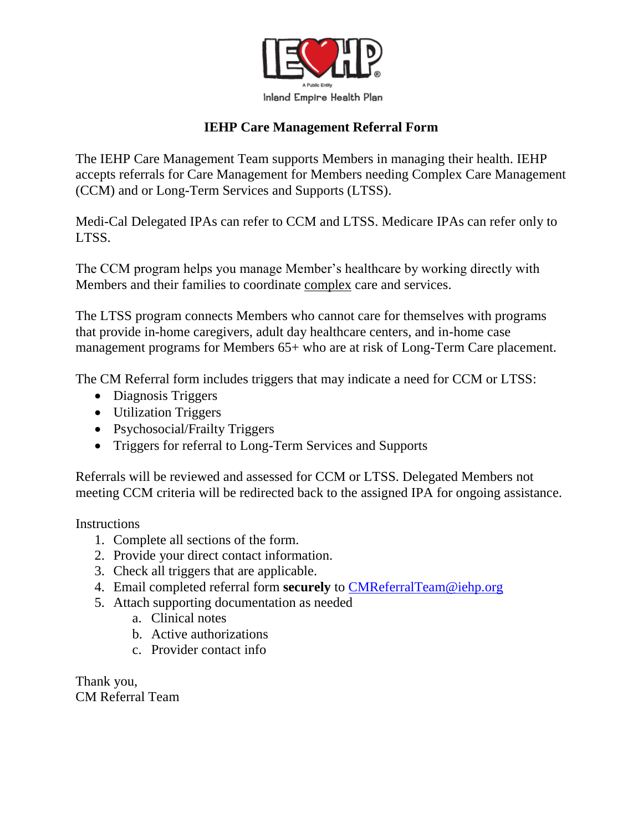

## **IEHP Care Management Referral Form**

The IEHP Care Management Team supports Members in managing their health. IEHP accepts referrals for Care Management for Members needing Complex Care Management (CCM) and or Long-Term Services and Supports (LTSS).

Medi-Cal Delegated IPAs can refer to CCM and LTSS. Medicare IPAs can refer only to LTSS.

The CCM program helps you manage Member's healthcare by working directly with Members and their families to coordinate complex care and services.

The LTSS program connects Members who cannot care for themselves with programs that provide in-home caregivers, adult day healthcare centers, and in-home case management programs for Members 65+ who are at risk of Long-Term Care placement.

The CM Referral form includes triggers that may indicate a need for CCM or LTSS:

- Diagnosis Triggers
- Utilization Triggers
- Psychosocial/Frailty Triggers
- Triggers for referral to Long-Term Services and Supports

Referrals will be reviewed and assessed for CCM or LTSS. Delegated Members not meeting CCM criteria will be redirected back to the assigned IPA for ongoing assistance.

**Instructions** 

- 1. Complete all sections of the form.
- 2. Provide your direct contact information.
- 3. Check all triggers that are applicable.
- 4. Email completed referral form **securely** to [CMReferralTeam@iehp.org](mailto:CMReferralTeam@iehp.org)
- 5. Attach supporting documentation as needed
	- a. Clinical notes
	- b. Active authorizations
	- c. Provider contact info

Thank you, CM Referral Team